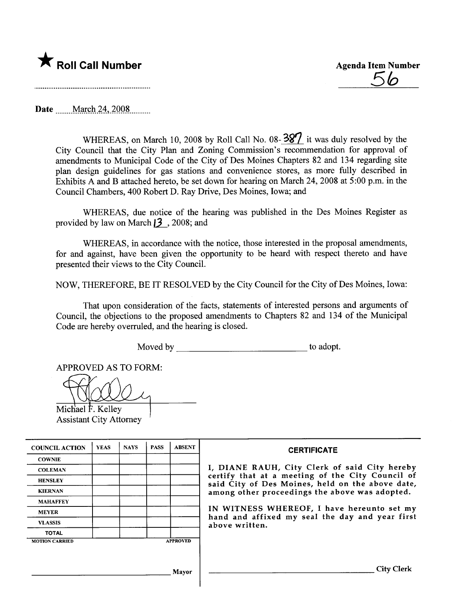

Date \_\_\_\_March 24, 2008

WHEREAS, on March 10, 2008 by Roll Call No. 08- $\frac{387}{3}$  it was duly resolved by the City Council that the City Plan and Zoning Commission's recommendation for approval of amendments to Municipal Code of the City of Des Moines Chapters 82 and 134 regarding site plan design guidelines for gas stations and convenience stores, as more fully described in Exhibits A and B attached hereto, be set down for hearing on March 24,2008 at 5:00 p.m. in the Council Chambers, 400 Robert D. Ray Drive, Des Moines, Iowa; and

WHEREAS, due notice of the hearing was published in the Des Moines Register as provided by law on March  $13$ , 2008; and

WHEREAS, in accordance with the notice, those interested in the proposal amendments, for and against, have been given the opportunity to be heard with respect thereto and have presented their views to the City CounciL.

NOW, THEREFORE, BE IT RESOLVED by the City Council for the City of Des Moines, Iowa:

That upon consideration of the facts, statements of interested persons and arguments of Council, the objections to the proposed amendments to Chapters 82 and 134 of the Municipal Code are hereby overruled, and the hearing is closed.

Moved by to adopt.

APPROVED AS TO FORM:

Michael  $\ddot{F}$ . Kelley Assistant City Attorney

| <b>COUNCIL ACTION</b> | <b>YEAS</b> | <b>NAYS</b> | <b>PASS</b> | <b>ABSENT</b>   | <b>CERTIFICATE</b>                                                                                   |
|-----------------------|-------------|-------------|-------------|-----------------|------------------------------------------------------------------------------------------------------|
| <b>COWNIE</b>         |             |             |             |                 |                                                                                                      |
| <b>COLEMAN</b>        |             |             |             |                 | I, DIANE RAUH, City Clerk of said City hereby                                                        |
| <b>HENSLEY</b>        |             |             |             |                 | certify that at a meeting of the City Council of<br>said City of Des Moines, held on the above date, |
| <b>KIERNAN</b>        |             |             |             |                 | among other proceedings the above was adopted.                                                       |
| <b>MAHAFFEY</b>       |             |             |             |                 |                                                                                                      |
| <b>MEYER</b>          |             |             |             |                 | IN WITNESS WHEREOF, I have hereunto set my<br>hand and affixed my seal the day and year first        |
| <b>VLASSIS</b>        |             |             |             |                 | above written.                                                                                       |
| <b>TOTAL</b>          |             |             |             |                 |                                                                                                      |
| <b>MOTION CARRIED</b> |             |             |             | <b>APPROVED</b> |                                                                                                      |
|                       |             |             |             |                 |                                                                                                      |
|                       |             |             |             | Mavor           | City                                                                                                 |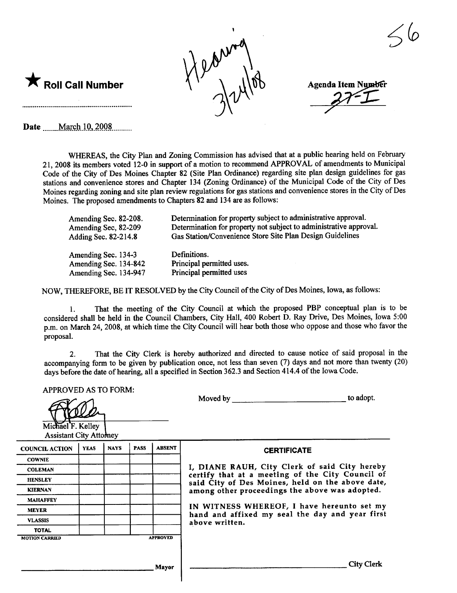

**Agenda Item Number** 

 $\smash{\overline{\mathscr{S}}}$ 

Date ....mM\_~ç-tl-lQ'-L-QQ~.\_....\_\_.

 $\blacktriangledown$  Roll Call Number

WHREAS, the City Plan and Zoning Commission has advised that at a public hearing held on February 2 I, 2008 its members voted 12-0 in support of a motion to recommend APPROVAL of amendments to Municipal Code of the City of Des Moines Chapter 82 (Site Plan Ordinance) regarding site plan design guidelines for gas stations and convenience stores and Chapter 134 (Zoning Ordinance) of the Municipal Code of the City of Des Moines regarding zoning and site plan review regulations for gas stations and convenience stores in the City of Des Moines. The proposed amendments to Chapters 82 and 134 are as follows:

| Amending Sec. 82-208. | Determination for property subject to administrative approval.     |
|-----------------------|--------------------------------------------------------------------|
| Amending Sec, 82-209  | Determination for property not subject to administrative approval. |
| Adding Sec. 82-214.8  | Gas Station/Convenience Store Site Plan Design Guidelines          |
| Amending Sec. 134-3   | Definitions.                                                       |
| Amending Sec. 134-842 | Principal permitted uses.                                          |
| Amending Sec. 134-947 | Principal permitted uses                                           |

NOW, THEREFORE, BE IT RESOLVED by the City Council of the City of Des Moines, Iowa, as follows:

1. That the meeting of the City Council at which the proposed PBP conceptual plan is to be considered shall be held in the Council Chambers, City Hall, 400 Robert D. Ray Drive, Des Moines, Iowa 5:00 p.m. on March 24, 2008, at which time the City Council will hear both those who oppose and those who favor the proposal.

2. That the City Clerk is hereby authorized and directed to cause notice of said proposal in the accompanying form to be given by publication once, not less than seven (7) days and not more than twenty (20) days before the date of hearing, all a specified in Section 362.3 and Section 414.4 of the Iowa Code.

| <b>APPROVED AS TO FORM:</b><br>Michael F. Kelley<br><b>Assistant City Attomey</b> |             |             |             |                                 | to adopt.<br>Moved by                                                                                |  |  |  |
|-----------------------------------------------------------------------------------|-------------|-------------|-------------|---------------------------------|------------------------------------------------------------------------------------------------------|--|--|--|
| <b>COUNCIL ACTION</b>                                                             | <b>YEAS</b> | <b>NAYS</b> | <b>PASS</b> | <b>ABSENT</b>                   | <b>CERTIFICATE</b>                                                                                   |  |  |  |
| <b>COWNIE</b>                                                                     |             |             |             |                                 |                                                                                                      |  |  |  |
| <b>COLEMAN</b>                                                                    |             |             |             |                                 | I, DIANE RAUH, City Clerk of said City hereby                                                        |  |  |  |
| <b>HENSLEY</b>                                                                    |             |             |             |                                 | certify that at a meeting of the City Council of<br>said City of Des Moines, held on the above date, |  |  |  |
| <b>KIERNAN</b>                                                                    |             |             |             |                                 | among other proceedings the above was adopted.                                                       |  |  |  |
| <b>MAHAFFEY</b>                                                                   |             |             |             |                                 |                                                                                                      |  |  |  |
| <b>MEYER</b>                                                                      |             |             |             |                                 | IN WITNESS WHEREOF, I have hereunto set my<br>hand and affixed my seal the day and year first        |  |  |  |
| <b>VLASSIS</b>                                                                    |             |             |             |                                 | above written.                                                                                       |  |  |  |
| <b>TOTAL</b>                                                                      |             |             |             |                                 |                                                                                                      |  |  |  |
| <b>MOTION CARRIED</b>                                                             |             |             |             | <b>APPROVED</b><br><b>Mayor</b> | <b>City Clerk</b>                                                                                    |  |  |  |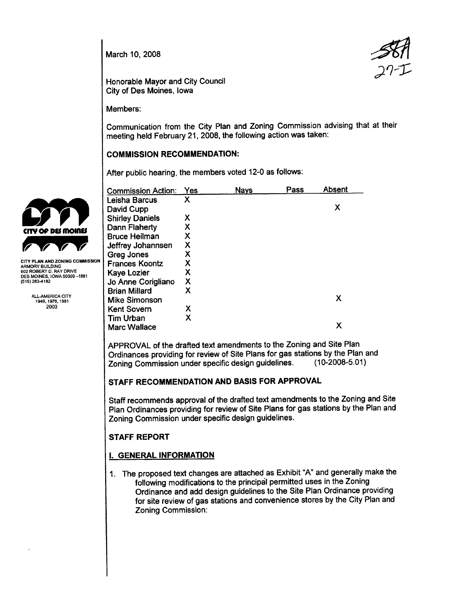March 10, 2008



Honorable Mayor and City Council City of Des Moines, Iowa

Members:

Communication from the City Plan and Zoning Commission advising that at their meeting held February 21, 2008, the following action was taken:

## COMMISSION RECOMMENDATION:

After public hearing, the members voted 12-0 as follows:

|                                                               | <b>Commission Action:</b>   | Yes | <b>Nays</b> | Pass | <b>Absent</b> |
|---------------------------------------------------------------|-----------------------------|-----|-------------|------|---------------|
|                                                               | Leisha Barcus<br>David Cupp | Χ   |             |      | Χ             |
|                                                               | <b>Shirley Daniels</b>      | Χ   |             |      |               |
| <b>CITY OF DES MOINES</b>                                     | Dann Flaherty               |     |             |      |               |
|                                                               | <b>Bruce Heilman</b>        | Χ   |             |      |               |
| $\sqrt{2}$                                                    | Jeffrey Johannsen           | X   |             |      |               |
|                                                               | Greg Jones                  | Χ   |             |      |               |
| CITY PLAN AND ZONING COMMISSION<br><b>\RMORY BUILDING</b>     | <b>Frances Koontz</b>       |     |             |      |               |
| 602 ROBERT D. RAY DRIVE<br><b>DES MOINES, IOWA 50309-1881</b> | Kaye Lozier                 | Χ   |             |      |               |
| 515) 283-4182                                                 | Jo Anne Corigliano          | Χ   |             |      |               |
|                                                               | <b>Brian Millard</b>        | Χ   |             |      |               |
| ALL-AMERICA CITY<br>1949, 1976, 1981                          | <b>Mike Simonson</b>        |     |             |      | Х             |
| 2003                                                          | <b>Kent Sovern</b>          | х   |             |      |               |
|                                                               | Tim Urban                   | Χ   |             |      |               |
|                                                               | <b>Marc Wallace</b>         |     |             |      | Х             |

APPROVAL of the drafted text amendments to the Zoning and Site Plan Ordinances providing for review of Site Plans for gas stations by the Plan and<br>Zoning Commission under specific design quidelines. (10-2008-5.01) Zoning Commission under specific design guidelines.

# STAFF RECOMMENDATION AND BASIS FOR APPROVAL

Staff recommends approval of the drafted text amendments to the Zoning and Site Plan Ordinances providing for review of Site Plans for gas stations by the Plan and Zoning Commission under specific design guidelines.

## STAFF REPORT

# i. GENERAL INFORMATION

1. The proposed text changes are attached as Exhibit "A" and generally make the following modifications to the principål permitted uses in the Zoning Ordinance and add design guidelines to the Site Plan Ordinance providing for site review of gas stations and convenience stores by the City Plan and Zoning Commission:

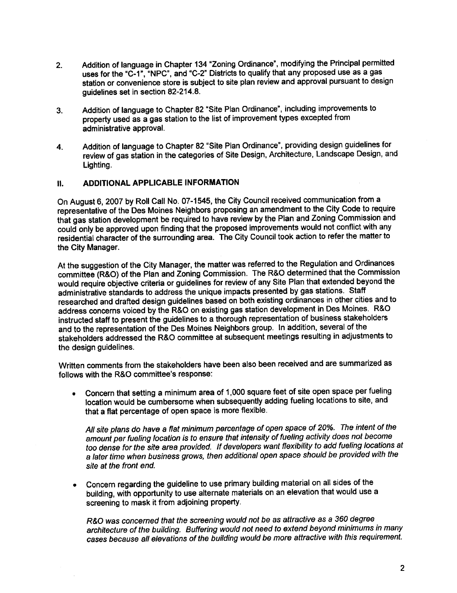- 2. Addition of language in Chapter 134 "Zoning Ordinance", modifying the Principal permitted uses for the "C-1", "NPC", and "C-2" Districts to qualify that any proposed use as a gas station or convenience store is subject to site plan review and approval pursuant to design guidelines set in section 82-214.8.
- 3. Addition of language to Chapter 82 "Site Plan Ordinance", including improvements to property used as a gas station to the list of improvement types excepted from administrative approvaL.
- 4. Addition of language to Chapter 82 "Site Plan Ordinance", providing design guidelines for review of gas station in the categories of Site Design, Architecture, Landscape Design, and Lighting.

## II. ADDITIONAL APPLICABLE INFORMATION

On August 6,2007 by Roll Call No. 07-1545, the City Council received communication from a representative of the Des Moines Neighbors proposing an amendment to the City Code to require that gas station development be required to have review by the Plan and Zoning Commission and could only be approved upon finding that the proposed improvements would not conflict with any residential character of the surrounding area. The City Council took action to refer the matter to the City Manager.

At the suggestion of the City Manager, the matter was referred to the Regulation and Ordinances committee (R&O) of the Plan and Zoning Commission. The R&O determined that the Commission would require objective criteria or guidelines for review of any Site Plan that extended beyond the administrative standards to address the unique impacts presented by gas stations. Staff researched and drafted design guidelines based on both existing ordinances in other cities and to address concerns voiced by the R&O on existing gas station development in Des Moines. R&O instructed staff to present the guidelines to a thorough representation of business stakeholders and to the representation of the Des Moines Neighbors group. In addition, several of the stakeholders addressed the R&O committee at subsequent meetings resulting in adjustments to the design guidelines.

Written comments from the stakeholders have been also been received and are summarized as follows with the R&O committee's response:

. Concern that setting a minimum area of 1,000 square feet of site open space per fueling location would be cumbersome when subsequently adding fueling locations to site, and that a flat percentage of open space is more flexible.

All site plans do have a flat minimum percentage of open space of 20%. The intent of the amount per fueling location is to ensure that intensity of fueling activity does not become too dense for the site area provided. If developers want flexibilty to add fueling locations at a later time when business grows, then additional open space should be provided with the site at the front end.

. Concern regarding the guideline to use primary building material on all sides of the building, with opportunity to use alternate materials on an elevation that would use a screening to mask it from adjoining property.

R&O was concerned that the screening would not be as attractive as a 360 degree architecture of the building. Buffering would not need to extend beyond minimums in many cases because all elevations of the building would be more attractive with this requirement.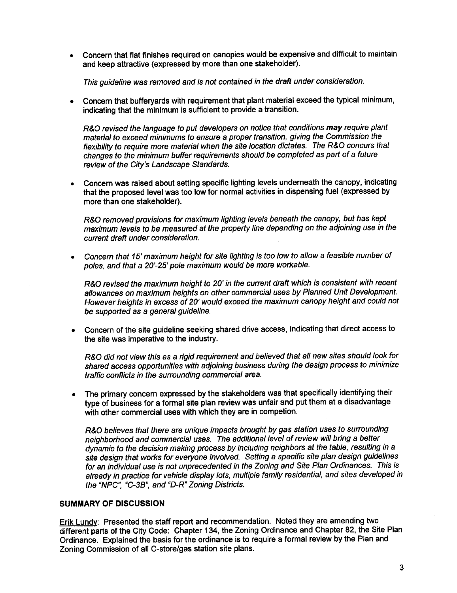. Concern that flat finishes required on canopies would be expensive and difficult to maintain and keep attractive (expressed by more than one stakeholder).

This guideline was removed and is not contained in the draft under consideration.

. Concern that bufferyards with requirement that plant material exceed the typical minimum, indicating that the minimum is sufficient to provide a transition.

R&O revised the language to put developers on notice that conditions may require plant material to exceed minimums to ensure a proper transition, giving the Commission the flexibility to require more material when the site location dictates. The R&O concurs that changes to the minimum buffer requirements should be completed as part of a future review of the City's Landscape Standards.

. Concern was raised about setting specific lighting levels underneath the canopy, indicating that the proposed level was too low for normal activities in dispensing fuel (expressed by more than one stakeholder).

R&O removed provisions for maximum lighting levels beneath the canopy, but has kept maximum levels to be measured at the property line depending on the adjoining use in the current draft under consideration.

. Concern that 15' maximum height for site lighting is too low to allow a feasible number of poles, and that a 20'-25' pole maximum would be more workable.

R&O revised the maximum height to 20' in the current draft which is consistent with recent allowances on maximum heights on other commercial uses by Planned Unit Development. However heights in excess of 20' would exceed the maximum canopy height and could not be supported as a general guideline.

. Concern of the site guideline seeking shared drive access, indicating that direct access to the site was imperative to the industry.

R&O did not view this as a rigid requirement and believed that all new sites should look for shared access opportunities with adjoining business during the design process to minimize traffic conflicts in the surrounding commercial area.

. The primary concern expressed by the stakeholders was that specifically identifying their type of business for a formal site plan review was unfair and put them at a disadvantage with other commercial uses with which they are in competion.

R&O believes that there are unique impacts brought by gas station uses to surrounding neighborhood and commercial uses. The additonal level of review wil bring a better dynamic to the decision making process by including neighbors at the table, resulting in a site design that works for everyone involved. Setting a specific site plan design guidelines for an individual use is not unprecedented in the Zoning and Site Plan Ordinances. This is already in practice for vehicle display lots, multiple family residential, and sites developed in the "NPC", "C-3B", and "D-R" Zoning Districts.

# SUMMARY OF DISCUSSION

Erik Lundy: Presented the staff report and recommendation. Noted they are amending two different parts of the City Code: Chapter 134, the Zoning Ordinance and Chapter 82, the Site Plan Ordinance. Explained the basis for the ordinance is to require a formal review by the Plan and Zoning Commission of all C-store/gas station site plans.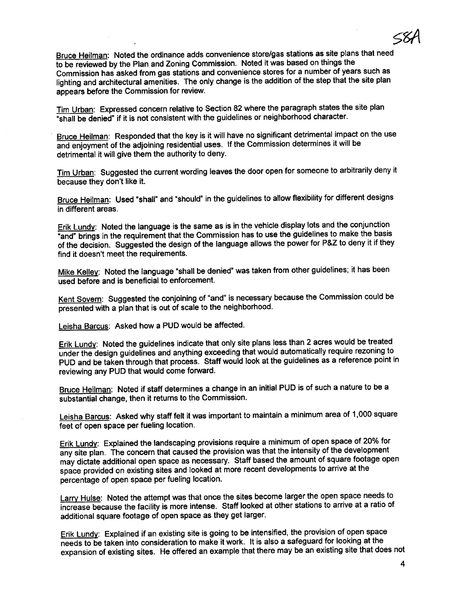Bruce Heilman: Noted the ordinance adds convenience store/gas stations as site plans that need to be reviewed by the Plan and Zoning Commission. Noted it was based on things the Commission has asked from gas stations and convenience stores for a number of years such as lighting and architectural amenities. The only change is the addition of the step that the site plan appears before the Commission for review.

Tim Urban: Expressed concern relative to Section 82 where the paragraph states the site plan "shall be denied" if it is not consistent with the guidelines or neighborhood character.

Bruce Heilman: Responded that the key is it will have no significant detrimental impact on the use and enjoyment of the adjoining residential uses. If the Commission determines it wil be detrimental it will give them the authority to deny.

Tim Urban: Suggested the current wording leaves the door open for someone to arbitrarily deny it because they don't like it.

Bruce Heilman: Used "shall" and "should" in the guidelines to allow flexibility for different designs in different areas.

Erik Lundy: Noted the language is the same as is in the vehicle display lots and the conjunction "and" brings in the requirement that the Commission has to use the guidelines to make the basis of the decision. Suggested the design of the language allows the power for P&Z to deny it if they find it doesn't meet the requirements.

Mike Kelley: Noted the language "shall be denied" was taken from other guidelines; it has been used before and is beneficial to enforcement.

Kent Sovern: Suggested the conjoining of "and" is necessary because the Commission could be presented with a plan that is out of scale to the neighborhood.

Leisha Barcus: Asked how a PUD would be affected.

Erik Lundy: Noted the guidelines indicate that only site plans less than 2 acres would be treated under the design guidelines and anything exceeding that would automatically require rezoning to PUD and be taken through that process. Staff would look at the guidelines as a reference point in reviewing any PUD that would come forward.

Bruce Heilman: Noted if staff determines a change in an initial PUD is of such a nature to be a substantial change, then it returns to the Commission.

Leisha Barcus: Asked why staff felt it was important to maintain a minimum area of 1,000 square feet of open space per fueling location.

Erik Lundy: Explained the landscaping provisions require a minimum of open space of 20% for any site plan. The concern that caused the provision was that the intensity of the development may dictate additional open space as necessary. Staff based the amount of square footage open space provided on existing sites and looked at more recent developments to arrive at the percentage of open space per fueling location.

Larry Hulse: Noted the attempt was that once the sites become larger the open space needs to increase because the facilty is more intense. Staff looked at other stations to arrive at a ratio of additional square footage of open space as they get larger.

Erik Lundy: Explained if an existing site is going to be intensified, the provision of open space needs to be taken into consideration to make it work. It is also a safeguard for looking at the expansion of existing sites. He offered an example that there may be an existing site that does not

58(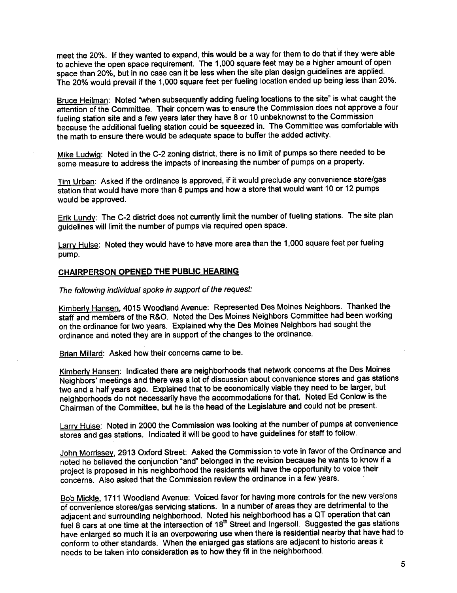meet the 20%. If they wanted to expand, this would be a way for them to do that if they were able to achieve the open space requirement. The 1,000 square feet may be a higher amount of open space than 20%, but in no case can it be less when the site plan design guidelines are applied. The 20% would prevail if the 1,000 square feet per fueling location ended up being less than 20%.

Bruce Heilman: Noted "when subsequently adding fueling locations to the site" is what caught the attention of the Committee. Their concern was to ensure the Commission does not approve a four fueling station site and a few years later they have 8 or 10 unbeknownst to the Commission because the additional fueling station could be squeezed in. The Committee was comfortable with the math to ensure there would be adequate space to buffer the added activity.

Mike Ludwig: Noted in the C-2 zoning district, there is no limit of pumps so there needed to be some measure to address the impacts of increasing the number of pumps on a property.

Tim Urban: Asked if the ordinance is approved, if it would preclude any convenience store/gas station that would have more than 8 pumps and how a store that would want 10 or 12 pumps would be approved.

Erik Lundy: The C-2 district does not currently limit the number of fueling stations. The site plan guidelines wil limit the number of pumps via required open space.

Larry Hulse: Noted they would have to have more area than the 1,000 square feet per fueling pump.

#### CHAIRPERSON OPENED THE PUBLIC HEARING

The following individual spoke in support of the request:

Kimberly Hansen, 4015 Woodland Avenue: Represented Des Moines Neighbors. Thanked the staff and members of the R&O. Noted the Des Moines Neighbors Committee had been working on the ordinance for two years. Explained why the Des Moines Neighbors had sought the ordinance and noted they are in support of the changes to the ordinance.

Brian Milard: Asked how their concerns came to be.

Kimberly Hansen: Indicated there are neighborhoods that network concerns at the Des Moines Neighbors' meetings and there was a lot of discussion about convenience stores and gas stations two and a half years ago. Explained that to be economically viable they need to be larger, but neighborhoods do not necessarily have the accommodations for that. Noted Ed Conlow is the Chairman of the Committee, but he is the head of the Legislature and could not be present.

Larry Hulse: Noted in 2000 the Commission was looking at the number of pumps at convenience stores and gas stations. Indicated it wil be good to have guidelines for staff to follow.

John Morrissey, 2913 Oxford Street: Asked the Commission to vote in favor of the Ordinance and noted he believed the conjunction "and" belonged in the revision because he wants to know if a project is proposed in his neighborhood the residents wil have the opportunity to voice their concerns. Also asked that the Commission review the ordinance in a few years.

Bob Mickle, 1711 Woodland Avenue: Voiced favor for having more controls for the new versions of convenience stores/gas servicing stations. In a number of areas they are detrimental to the adjacent and surrounding neighborhood. Noted his neighborhood has a QT operation that can fuel 8 cars at one time at the intersection of 18<sup>th</sup> Street and Ingersoll. Suggested the gas stations have enlarged so much it is an overpowering use when there is residential nearby that have had to conform to other standards. When the enlarged gas stations are adjacent to historic areas it needs to be taken into consideration as to how they fit in the neighborhood.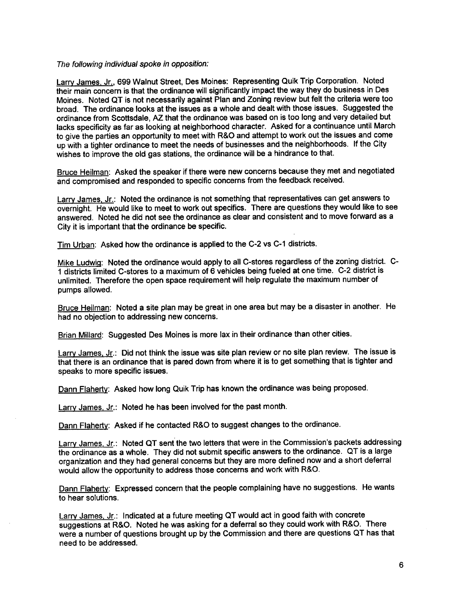#### The following individual spoke in opposition:

Larry James, Jr., 699 Walnut Street, Des Moines: Representing Quik Trip Corporation. Noted their main concern is that the ordinance will significantly impact the way they do business in Des Moines. Noted QT is not necessarily against Plan and Zoning review but felt the critena were too broad. The ordinance looks at the issues as a whole and dealt with those issues. Suggested the ordinance from Scottsdale, AZ that the ordinance was based on is too long and very detailed but lacks specificity as far as looking at neighborhood character. Asked for a continuance until March to give the parties an opportunity to meet with R&O and attempt to work out the issues and come up with a tighter ordinance to meet the needs of businesses and the neighborhoods. If the City wishes to improve the old gas stations, the ordinance will be a hindrance to that.

Bruce Heilman: Asked the speaker if there were new concerns because they met and negotiated and compromised and responded to specific concerns from the feedback received.

Larry James, Jr.: Noted the ordinance is not something that representatives can get answers to overnight. He would like to meet to work out specifics. There are questions they would like to see answered. Noted he did not see the ordinance as clear and consistent and to move forward as a City it is important that the ordinance be specific.

Tim Urban: Asked how the ordinance is applied to the C-2 vs C-1 districts.

Mike Ludwig: Noted the ordinance would apply to all C-stores regardless of the zoning district. C-1 districts limited C-stores to a maximum of 6 vehicles being fueled at one time. C-2 district is unlimited. Therefore the open space requirement wil help regulate the maximum number of pumps allowed.

Bruce Heilman: Noted a site plan may be great in one area but may be a disaster in another. He had no objection to addressing new concerns.

Brian Millard: Suggested Des Moines is more lax in their ordinance than other cities.

Larry James, Jr.: Did not think the issue was site plan review or no site plan review. The issue is that there is an ordinance that is pared down from where it is to get something that is tighter and speaks to more specific issues.

Dann Flaherty: Asked how long Quik Trip has known the ordinance was being proposed.

Larry James. Jr.: Noted he has been involved for the past month.

Dann Flaherty: Asked if he contacted R&O to suggest changes to the ordinance.

Larry James. Jr.: Noted QT sent the two letters that were in the Commission's packets addressing the ordinance as a whole. They did not submit specific answers to the ordinance. QT is a large organization and they had general concerns but they are more defined now and a short deferral would allow the opportunity to address those concerns and work with R&O.

Dann Flaherty: Expressed concern that the people complaining have no suggestions. He wants to hear solutions.

Larry James. Jr.: Indicated at a future meeting QT would act in good faith with concrete suggestions at R&O. Noted he was asking for a deferral so they could work with R&O. There were a number of questions brought up by the Commission and there are questions QT has that need to be addressed.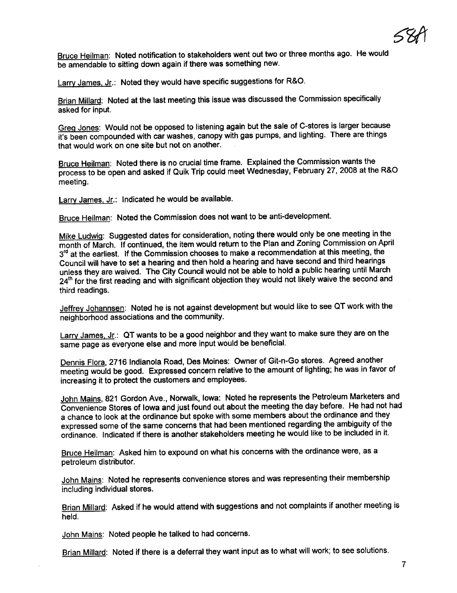~8r

Bruce Heilman: Noted notification to stakeholders went out two or three months ago. He would be amendable to sitting down again if there was something new.

Larry James, Jr.: Noted they would have specific suggestions for R&O.

Brian Millard: Noted at the last meeting this issue was discussed the Commission specifically asked for input.

Greg Jones: Would not be opposed to listening again but the sale of C-stores is larger because it's been compounded with car washes, canopy with gas pumps, and lighting. There are things that would work on one site but not on another.

Bruce Heilman: Noted there is no crucial time frame. Explained the Commission wants the process to be open and asked if Quik Trip could meet Wednesday, February 27, 2008 at the R&O meeting.

Larry James, Jr.: Indicated he would be available.

Bruce Heilman: Noted the Commission does not want to be anti-development.

Mike Ludwig: Suggested dates for consideration, noting there would only be one meeting in the month of March. If continued, the item would return to the Plan and Zoning Commission on April 3<sup>rd</sup> at the earliest. If the Commission chooses to make a recommendation at this meeting, the Council wil have to set a hearing and then hold a hearing and have second and third hearings unless they are waived. The City Council would not be able to hold a public hearing until March 24<sup>th</sup> for the first reading and with significant objection they would not likely waive the second and third readings.

Jeffrey Johannsen: Noted he is not against development but would like to see QT work with the neighborhood associations and the community.

Larry James, Jr.: QT wants to be a good neighbor and they want to make sure they are on the same page as everyone else and more input would be beneficial.

Dennis Flora, 2716 Indianola Road. Des Moines: Owner of Git-n-Go stores. Agreed another meeting would be good. Expressed concern relative to the amount of lighting; he was in favor of increasing it to protect the customers and employees.

John Mains, 821 Gordon Ave., Norwalk, Iowa: Noted he represents the Petroleum Marketers and Convenience Stores of Iowa and just found out about the meeting the day before. He had not had a chance to look at the ordinance but spoke with some members about the ordinance and they expressed some of the same concerns that had been mentioned regarding the ambiguity of the ordinance. Indicated if there is another stakeholders meeting he would like to be included in it.

Bruce Heilman: Asked him to expound on what his concerns with the ordinance were, as a petroleum distributor.

John Mains: Noted he represents convenience stores and was representing their membership including individual stores.

Brian Millard: Asked if he would attend with suggestions and not complaints if another meeting is held.

John Mains: Noted people he talked to had concerns.

Brian Millard: Noted if there is a deferral they want input as to what will work; to see solutions.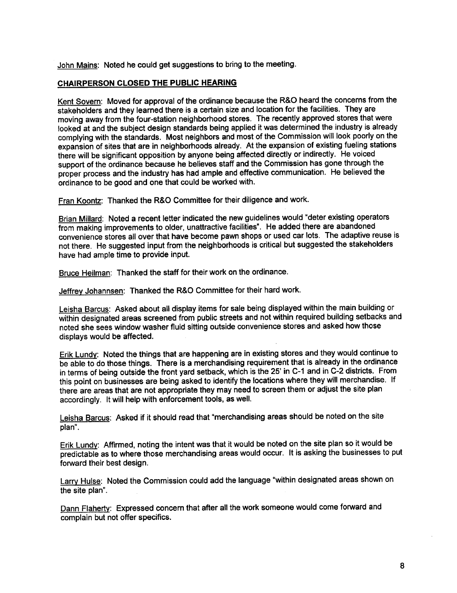John Mains: Noted he could get suggestions to bring to the meeting.

## CHAIRPERSON CLOSED THE PUBLIC HEARING

Kent Sovern: Moved for approval of the ordinance because the R&O heard the concerns from the stakeholders and they learned there is a certain size and location for the facilities. They are moving away from the four-station neighborhood stores. The recently approved stores that were looked at and the subject design standards being applied it was determined the industry is already complying with the standards. Most neighbors and most of the Commission wil look poorly on the expansion of sites that are in neighborhoods already. At the expansion of existing fueling stations there will be significant opposition by anyone being affected directly or indirectly. He voiced support of the ordinance because he believes staff and the Commission has gone through the proper process and the industry has had ample and effective communication. He believed the ordinance to be good and one that could be worked with.

Fran Koontz: Thanked the R&O Committee for their diligence and work.

Brian Milard: Noted a recent letter indicated the new guidelines would "deter existing operators from making improvements to older, unattractive facilties". He added there are abandoned convenience stores all over that have become pawn shops or used car lots. The adaptive reuse is not there. He suggested input from the neighborhoods is critical but suggested the stakeholders have had ample time to provide input.

Bruce Heilman: Thanked the staff for their work on the ordinance.

Jeffrey Johannsen: Thanked the R&O Committee for their hard work.

Leisha Barcus: Asked about all display items for sale being displayed within the main building or within designated areas screened from public streets and not within required building setbacks and noted she sees window washer fluid sitting outside convenience stores and asked how those displays would be affected.

Erik Lundy: Noted the things that are happening are in existing stores and they would continue to be able to do those things. There is a merchandising requirement that is already in the ordinance in terms of being outside the front yard setback, which is the 25' in C-1 and in C-2 districts. From this point on businesses are being asked to identify the locations where they will merchandise. If there are areas that are not appropriate they may need to screen them or adjust the site plan accordingly. It wil help with enforcement tools, as well.

Leisha Barcus: Asked if it should read that "merchandising areas should be noted on the site plan".

Erik Lundy: Affrmed, noting the intent was that it would be noted on the site plan so it would be predictable as to where those merchandising areas would occur. It is asking the businesses to put forward their best design.

Larry Hulse: Noted the Commission could add the language "within designated areas shown on the site plan".

Dann Flaherty: Expressed concern that after all the work someone would come forward and complain but not offer specifics.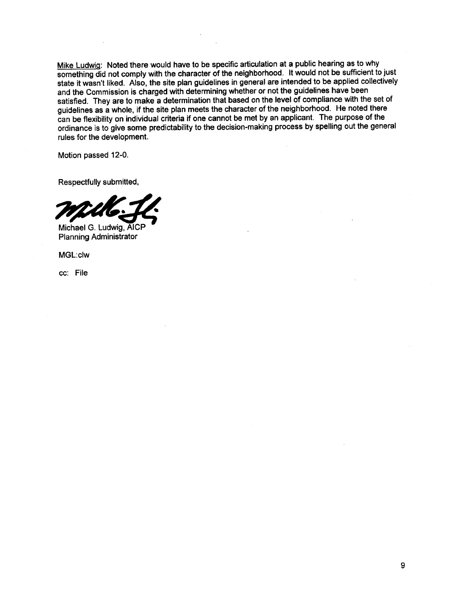Mike Ludwig: Noted there would have to be specific articulation at a public hearing as to why something did not comply with the character of the neighborhood. It would not be sufficient to just state it wasn't liked. Also, the site plan guidelines in general are intended to be applied collectively and the Commission is charged with determining whether or not the guidelines have been satisfied. They are to make a determination that based on the level of compliance with the set of guidelines as a whole, if the site plan meets the character of the neighborhood. He noted there can be flexibility on individual criteria if one cannot be met by an applicant. The purpose of the ordinance is to give some predictabilty to the decision-making process by spelling out the general rules for the development.

Motion passed 12-0.

Respectfully submitted,



Planning Administrator

MGL:clw

cc: File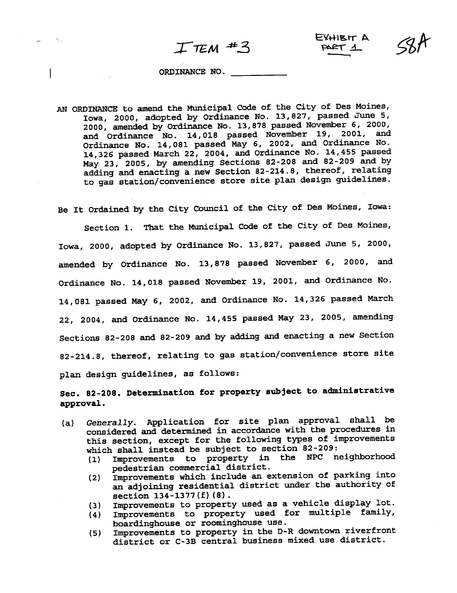$T$ TEM  $#3$  EXHIBIT A

#### ORDINACE NO.

 $\sim 10^7$ 

and the

AN ORDINANCE to amend the Municipal Code of the City of Des Moines, Iowa, 2000, adopted by Ordinance No. 13,827, passed June 5, 2000, amended by Ordinance No. 13,878 passed November 6, 2000, and Ordinance No. 14,018 passed November 19, 2001, and Ordinance No. 14,081 passed May 6, 2002, and Ordinance No. 14,326 passed March 22, 2004, and Ordinace No. 14,455 passed May 23, 2005, by amending Sections 82-208 and 82-209 and by adding and enacting a new Section 82-214.8, thereof, relating to gas station/convenience store site plan design guidelines.

Be It Ordained by the City Council of the City of Des Moines, Iowa:

Section 1. That the Municipal Code of the City of Des Moines, Iowa, 2000, adopted by Ordinance No. 13,827, passed June 5, 2000, amended by Ordinance No. 13,878 passed November 6, 2000, and Ordinance No. 14,018 passed November 19, 2001, and Ordinance No. 14,081 passed May 6, 2002, and Ordinance No. 14,326 passed March 22, 2004, and Ordinance No. 14,455 passed May 23, 2005, amending Sections 82-208 and 82-209 and by adding and enacting a new Section 82-214.8, thereof, relating to gas station/convenience store site plan design guidelines, as follows:

Sec. 82-208. Determination for property subject to administrative approval.

- (a) Generally. Application for site plan approval shall be considered and determined in accordance with the procedures in this section, except for the following types of improvements which shall instead be subject to section 82-209:
	- (1) Improvements to property in the NPC neighborhood pedestrian commercial district.
	- (2) Improvements which include an extension of parking into an adjoining residential district under the authority of section 134-1377(f) (8).
	- (3) Improvements to property used as a vehicle display lot.<br>(4) Improvements to property used for multiple family,
	- Improvements to property used for multiple family, boardinghouse or roominghouse use.
	- (5) Improvements to property in the D-R downtown riverfront district or C-3B central business mixed use district.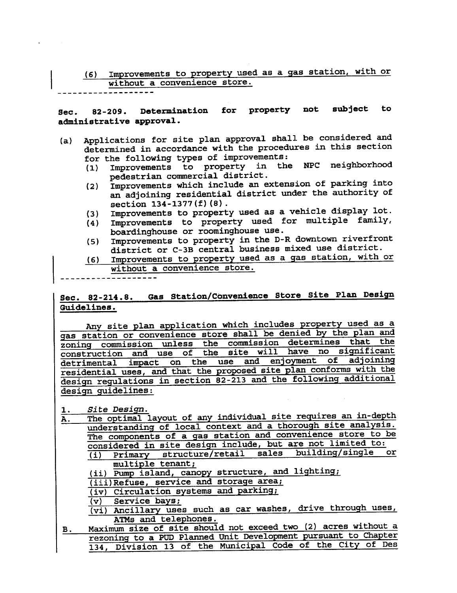# (6) Improvements to property used as a gas station, with or without a convenience store.

Sec. 82-209. Determination for property not subject to administrative approval.

- (a) Applications for site plan approval shall be considered and determined in accordance with the procedures in this section
	- for the following types of improvements:<br>(1) Improvements to property in the Improvements to property in the NPC neighborhood pedestrian commercial district.
	- (2) Improvements which include an extension of parking into an adjoining residential district under the authority of section 134-1377 (f) (8) .
	-
	- (3) Improvements to property used as a vehicle display lot.<br>(4) Improvements to property used for multiple family, Improvements to property used for multiple family, boardinghouse or roominghouse use.
	- (5) Improvements to property in the D-R downtown riverfront district or C-3B central business mixed use district.
	- (6) Improvements to property used as a gas station, with or without a convenience store.

Sec. 82-214.8. Gas Station/Convenience Store Site Plan Design Guidelines.

Any site plan application which includes property used as a gas station or convenience store shall be denied by the plan and zoning commission unless the commission determines that the construction and use of the site will have no significant detrimental impact on the use and enjoyment of adjoining residential uses, and that the proposed site plan conforms with the design regulations in section 82-213 and the following additional design guidelines:

1. Site Design.

A. The optimal layout of any individual site requires an in-depth understanding of local context and a thorough site analysis. The components of a gas station and convenience store to be considered in site design include, but are not limited to: (i) Primary structure/retail sales building/single or multiple tenant; (ii) Pump island, canopy structure, and lighting;

(iii) Refuse, service and storage area;

(iv) Circulation systems and parking;<br>(v) Service bays;

Service bays;

(vi) Ancillary uses such as car washes, drive through uses, ATMs and telephones.

B. Maximum size of site should not exceed two (2) acres without a rezoning to a POD Planed Unit Development pursuant to Chapter 134, Division 13 of the Municipal Code of the City of Des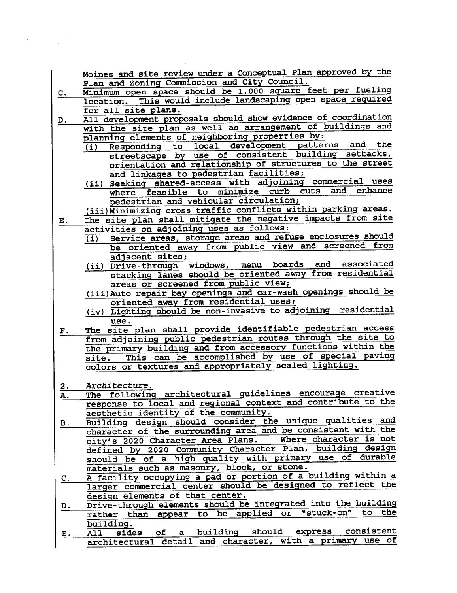Moines and site review under a Conceptual Plan approved by the Plan and Zoning Commission and City Council.

- C. Minimum open space should be 1,000 square feet per fueling location. This would include landscaping open space requred for all site plans.
- D. All development proposals should show evidence of coordination with the site plan as well as arrangement of buildings and planning elements of neighboring properties by:<br>(i) Responding to local development patter
	- (i) Responding to local development patterns and the streetscape by use of consistent building setbacks, orientation and relationship of structures to the street and linkages to pedestrian facilities;
	- (ii) Seeking shared-access with adjoining commercial uses where feasible to minimize curb cuts and enhance pedestrian and vehicular circulation;
- (iii) Minimizing cross traffic conflicts within parking areas. E. The site plan shall mitigate the negative impacts from site
- activities on adjoining uses as follows:
	- (i) Service areas, storage areas and refuse enclosures should be oriented away from public view and screened from adjacent sites;
	- (ii) Drive-through windows, menu boards and associated stacking lanes should be oriented away from residential areas or screened from public view;
	- (iii) Auto repair bay openigs and car-wash openings should be oriented away from residential uses;
	- $(iv)$  Lighting should be non-invasive to adjoining residential use.
- F. The site plan shall provide identifiable pedestrian access from adjoining public pedestrian routes through the site to the primary building and from accessory functions within the site. This can be accomplished by use of special paving colors or textures and appropriately scaled lighting.
- 
- 2. Architecture. A. The following architectural guidelines encourage creative response to local and regional context and contribute to the aesthetic identity of the community.
- B. Building design should consider the unique qualities and character of the surrounding area and be consistent with the city's 2020 Character Area Plans. Where character is not defined by 2020 Community Character Plan, building design should be of a high quality with primary use of durable materials such as masonry, block, or stone.
- C. A facility occupying a pad or portion of a building within a larger commercial center should be designed to reflect the design elements of that center.
- D. Drive-through elements should be integrated into the building rather than appear to be applied or "stuck-on" to the
- building.<br>All sides of E. All sides of a building should express consistent<br>architectural detail and character, with a primary use of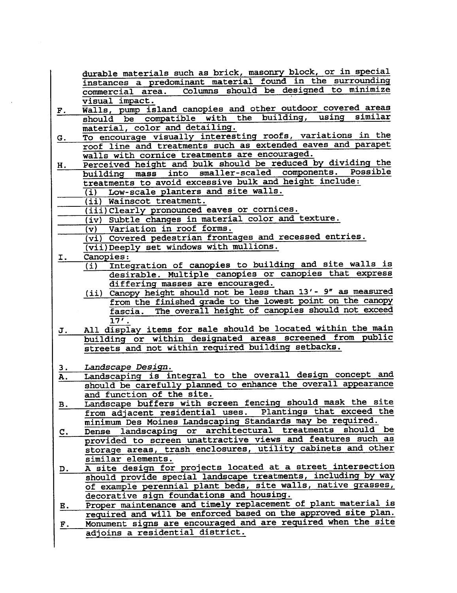durable materials such as brick, masonry block, or in special instances a predominant material found in the surrounding Columns should be designed to minimize visual impact.

- F. Walls, pump island canopies and other outdoor covered areas should be compatible with the building, using similar
- G. To encourage visually interesting roofs, variations in the roof line and treatments such as extended eaves and parapet walls with cornice treatments are encouraged.
- H. Perceived height and bulk should be reduced by dividing the<br>huilding mass into smaller-scaled components. Possible building mass into smaller-scaled components. treatments to avoid excessive bulk and height include:
	- (i) Low-scale planters and site walls.
	- (ii) Wainscot treatment.
- (iii) Clearly pronounced eaves or cornices.
	- (iv) Subtle changes in material color and texture.<br>(v) Variation in roof forms.
- Variation in roof forms.
	- (vi) Covered pedestrian frontages and recessed entries.
	- (vii) Deeply set windows with mullions.
- I. Canopies:<br>(i) Inte
	- Integration of canopies to building and site walls is desirable. Multiple canopies or canopies that express differing masses are encouraged.
	- (ii) Canopy height should not be less than 13'- 9" as measured from the finshed grade to the lowest point on the canopy fascia. The overall height of canopies should not exceed  $\overline{17'}$  .
- J. All display items for sale should be located within the main building or within designated areas screened from public streets and not within required building setbacks.
- 3 . Landscape Design.
- A. Landscaping is integral to the overall design concept and should be carefully planed to enhance the overall appearance and function of the site.
- B. Landscape buffers with screen fencing should mask the site from adjacent residential uses. Plantings that exceed the minimum Des Moines Landscaping Standards may be required.
- c. Dense landscaping or architectural treatments should be provided to screen unattractive views and features such as storage areas, trash enclosures, utility cabinets and other similar elements.
- D. A site design for projects located at a street intersection should provide special landscape treatments, including by way of example perennial plant beds, site walls, native grasses, decorative sign foundations and housing.
- E. Proper maintenace and timely replacement of plant material is required and will be enforced based on the approved site plan. F. Monument signs are encouraged and are required when the site adjoins a residential district.